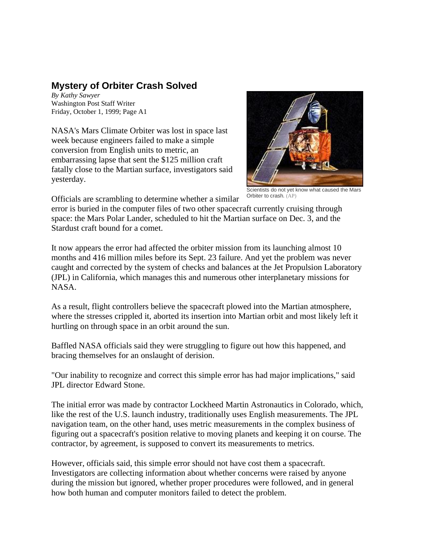## **Mystery of Orbiter Crash Solved**

*By Kathy Sawyer* Washington Post Staff Writer Friday, October 1, 1999; Page A1

NASA's Mars Climate Orbiter was lost in space last week because engineers failed to make a simple conversion from English units to metric, an embarrassing lapse that sent the \$125 million craft fatally close to the Martian surface, investigators said yesterday.



Scientists do not yet know what caused the Mars Orbiter to crash. (AP)

Officials are scrambling to determine whether a similar

error is buried in the computer files of two other spacecraft currently cruising through space: the Mars Polar Lander, scheduled to hit the Martian surface on Dec. 3, and the Stardust craft bound for a comet.

It now appears the error had affected the orbiter mission from its launching almost 10 months and 416 million miles before its Sept. 23 failure. And yet the problem was never caught and corrected by the system of checks and balances at the Jet Propulsion Laboratory (JPL) in California, which manages this and numerous other interplanetary missions for NASA.

As a result, flight controllers believe the spacecraft plowed into the Martian atmosphere, where the stresses crippled it, aborted its insertion into Martian orbit and most likely left it hurtling on through space in an orbit around the sun.

Baffled NASA officials said they were struggling to figure out how this happened, and bracing themselves for an onslaught of derision.

"Our inability to recognize and correct this simple error has had major implications," said JPL director Edward Stone.

The initial error was made by contractor Lockheed Martin Astronautics in Colorado, which, like the rest of the U.S. launch industry, traditionally uses English measurements. The JPL navigation team, on the other hand, uses metric measurements in the complex business of figuring out a spacecraft's position relative to moving planets and keeping it on course. The contractor, by agreement, is supposed to convert its measurements to metrics.

However, officials said, this simple error should not have cost them a spacecraft. Investigators are collecting information about whether concerns were raised by anyone during the mission but ignored, whether proper procedures were followed, and in general how both human and computer monitors failed to detect the problem.